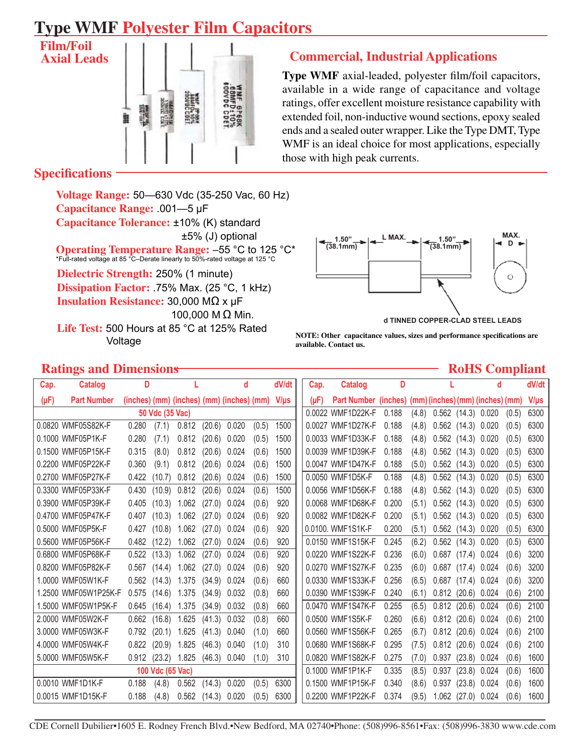# **Type WMF Polyester Film Capacitors Type WMF Polyester Film Capacitors**



## **Specifications**

**Voltage Range:** 50—630 Vdc (35-250 Vac, 60 Hz) **Capacitance Range:** .001—5 µF **Capacitance Tolerance:** ±10% (K) standard ±5% (J) optional **Operating Temperature Range:** -55 °C to 125 °C<sup>\*</sup><br>\*Full-rated voltage at 85 °C-Derate linearly to 50%-rated voltage at 125 °C **Dielectric Strength:** 250% (1 minute)

**Dissipation Factor:** .75% Max. (25 °C, 1 kHz) **Insulation Resistance:** 30,000 MΩ x µF 100,000 M Ω Min.

**Life Test:** 500 Hours at 85 °C at 125% Rated

## **Commercial, Industrial Applications**

**Type WMF** axial-leaded, polyester film/foil capacitors, available in a wide range of capacitance and voltage ratings, offer excellent moisture resistance capability with extended foil, non-inductive wound sections, epoxy sealed ends and a sealed outer wrapper. Like the Type DMT, Type WMF is an ideal choice for most applications, especially those with high peak currents.



**d TINNED COPPER-CLAD STEEL LEADS** 

**NOTE: Other capacitance values, sizes and performance specifications are** Voltage **available. Contact us.**

### **Ratings and Dimensions RoHS Compliant**

| <b>Rathley and Dimensions</b> |                      |                                                       |                  |       |        |       |       |       |  |           |                                                       |       |       |       | <b>IVATIO</b>          |                    |       | <b>Comphant</b> |
|-------------------------------|----------------------|-------------------------------------------------------|------------------|-------|--------|-------|-------|-------|--|-----------|-------------------------------------------------------|-------|-------|-------|------------------------|--------------------|-------|-----------------|
| Cap.                          | <b>Catalog</b>       | D                                                     |                  |       |        | d     |       | dV/dt |  | Cap.      | <b>Catalog</b>                                        | D     |       |       |                        | d                  |       | dV/dt           |
| $(\mu F)$                     | <b>Part Number</b>   | $(inches)$ (mm) $(inches)$ (mm) $(inches)$ (mm) $V/~$ |                  |       |        |       |       |       |  | $(\mu F)$ | Part Number (inches) (mm) (inches) (mm) (inches) (mm) |       |       |       |                        |                    |       | $V/$ us         |
|                               |                      |                                                       | 50 Vdc (35 Vac)  |       |        |       |       |       |  |           | 0.0022 WMF1D22K-F                                     | 0.188 | (4.8) |       |                        | 0.562 (14.3) 0.020 | (0.5) | 6300            |
|                               | 0.0820 WMF05S82K-F   | 0.280                                                 | (7.1)            | 0.812 | (20.6) | 0.020 | (0.5) | 1500  |  |           | 0.0027 WMF1D27K-F                                     | 0.188 | (4.8) |       |                        | 0.562 (14.3) 0.020 | (0.5) | 6300            |
|                               | 0.1000 WMF05P1K-F    | 0.280                                                 | (7.1)            | 0.812 | (20.6) | 0.020 | (0.5) | 1500  |  |           | 0.0033 WMF1D33K-F                                     | 0.188 | (4.8) |       | 0.562 (14.3) 0.020     |                    | (0.5) | 6300            |
|                               | 0.1500 WMF05P15K-F   | 0.315                                                 | (8.0)            | 0.812 | (20.6) | 0.024 | (0.6) | 1500  |  |           | 0.0039 WMF1D39K-F                                     | 0.188 | (4.8) |       | 0.562 (14.3) 0.020     |                    | (0.5) | 6300            |
|                               | 0.2200 WMF05P22K-F   | 0.360                                                 | (9.1)            | 0.812 | (20.6) | 0.024 | (0.6) | 1500  |  |           | 0.0047 WMF1D47K-F                                     | 0.188 | (5.0) |       | 0.562 (14.3) 0.020     |                    | (0.5) | 6300            |
|                               | 0.2700 WMF05P27K-F   | 0.422                                                 | (10.7)           | 0.812 | (20.6) | 0.024 | (0.6) | 1500  |  |           | 0.0050 WMF1D5K-F                                      | 0.188 | (4.8) |       | $0.562$ (14.3)         | 0.020              | (0.5) | 6300            |
|                               | 0.3300 WMF05P33K-F   | 0.430                                                 | (10.9)           | 0.812 | (20.6) | 0.024 | (0.6) | 1500  |  |           | 0.0056 WMF1D56K-F                                     | 0.188 | (4.8) |       | 0.562 (14.3) 0.020     |                    | (0.5) | 6300            |
|                               | 0.3900 WMF05P39K-F   | 0.405                                                 | (10.3)           | 1.062 | (27.0) | 0.024 | (0.6) | 920   |  |           | 0.0068 WMF1D68K-F                                     | 0.200 | (5.1) |       | 0.562 (14.3) 0.020     |                    | (0.5) | 6300            |
|                               | 0.4700 WMF05P47K-F   | 0.407                                                 | (10.3)           | 1.062 | (27.0) | 0.024 | (0.6) | 920   |  |           | 0.0082 WMF1D82K-F                                     | 0.200 | (5.1) |       | $0.562$ (14.3) $0.020$ |                    | (0.5) | 6300            |
|                               | 0.5000 WMF05P5K-F    | 0.427                                                 | (10.8)           | 1.062 | (27.0) | 0.024 | (0.6) | 920   |  |           | 0.0100. WMF1S1K-F                                     | 0.200 | (5.1) |       | 0.562 (14.3) 0.020     |                    | (0.5) | 6300            |
|                               | 0.5600 WMF05P56K-F   | 0.482                                                 | (12.2)           | 1.062 | (27.0) | 0.024 | (0.6) | 920   |  |           | 0.0150 WMF1S15K-F                                     | 0.245 | (6.2) |       | 0.562(14.3)            | 0.020              | (0.5) | 6300            |
|                               | 0.6800 WMF05P68K-F   | 0.522                                                 | (13.3)           | 1.062 | (27.0) | 0.024 | (0.6) | 920   |  |           | 0.0220 WMF1S22K-F                                     | 0.236 | (6.0) | 0.687 | $(17.4)$ 0.024         |                    | (0.6) | 3200            |
|                               | 0.8200 WMF05P82K-F   | 0.567                                                 | (14.4)           | 1.062 | (27.0) | 0.024 | (0.6) | 920   |  |           | 0.0270 WMF1S27K-F                                     | 0.235 | (6.0) | 0.687 | (17.4) 0.024           |                    | (0.6) | 3200            |
|                               | 1.0000 WMF05W1K-F    | 0.562                                                 | (14.3)           | 1.375 | (34.9) | 0.024 | (0.6) | 660   |  |           | 0.0330 WMF1S33K-F                                     | 0.256 | (6.5) |       | 0.687 (17.4) 0.024     |                    | (0.6) | 3200            |
|                               | 1.2500 WMF05W1P25K-F | 0.575                                                 | (14.6)           | 1.375 | (34.9) | 0.032 | (0.8) | 660   |  |           | 0.0390 WMF1S39K-F                                     | 0.240 | (6.1) |       |                        | 0.812 (20.6) 0.024 | (0.6) | 2100            |
|                               | 1.5000 WMF05W1P5K-F  | 0.645                                                 | (16.4)           | 1.375 | (34.9) | 0.032 | (0.8) | 660   |  |           | 0.0470 WMF1S47K-F                                     | 0.255 | (6.5) | 0.812 | (20.6)                 | 0.024              | (0.6) | 2100            |
|                               | 2.0000 WMF05W2K-F    | 0.662                                                 | (16.8)           | 1.625 | (41.3) | 0.032 | (0.8) | 660   |  |           | 0.0500 WMF1S5K-F                                      | 0.260 | (6.6) |       | 0.812 (20.6) 0.024     |                    | (0.6) | 2100            |
|                               | 3.0000 WMF05W3K-F    | 0.792                                                 | (20.1)           | 1.625 | (41.3) | 0.040 | (1.0) | 660   |  |           | 0.0560 WMF1S56K-F                                     | 0.265 | (6.7) |       | 0.812 (20.6) 0.024     |                    | (0.6) | 2100            |
|                               | 4.0000 WMF05W4K-F    | 0.822                                                 | (20.9)           | 1.825 | (46.3) | 0.040 | (1.0) | 310   |  |           | 0.0680 WMF1S68K-F                                     | 0.295 | (7.5) | 0.812 | (20.6)                 | 0.024              | (0.6) | 2100            |
|                               | 5.0000 WMF05W5K-F    | 0.912                                                 | (23.2)           | 1.825 | (46.3) | 0.040 | (1.0) | 310   |  |           | 0.0820 WMF1S82K-F                                     | 0.275 | (7.0) | 0.937 | (23.8)                 | 0.024              | (0.6) | 1600            |
|                               |                      |                                                       | 100 Vdc (65 Vac) |       |        |       |       |       |  |           | 0.1000 WMF1P1K-F                                      | 0.335 | (8.5) | 0.937 | (23.8)                 | 0.024              | (0.6) | 1600            |
|                               | 0.0010 WMF1D1K-F     | 0.188                                                 | (4.8)            | 0.562 | (14.3) | 0.020 | (0.5) | 6300  |  |           | 0.1500 WMF1P15K-F                                     | 0.340 | (8.6) | 0.937 | (23.8)                 | 0.024              | (0.6) | 1600            |
|                               | 0.0015 WMF1D15K-F    | 0.188                                                 | (4.8)            | 0.562 | (14.3) | 0.020 | (0.5) | 6300  |  |           | 0.2200 WMF1P22K-F                                     | 0.374 | (9.5) |       |                        | 1.062 (27.0) 0.024 | (0.6) | 1600            |
|                               |                      |                                                       |                  |       |        |       |       |       |  |           |                                                       |       |       |       |                        |                    |       |                 |

CDE Cornell Dubilier•1605 E. Rodney French Blvd.•New Bedford, MA 02740•Phone: (508)996-8561•Fax: (508)996-3830 www.cde.com